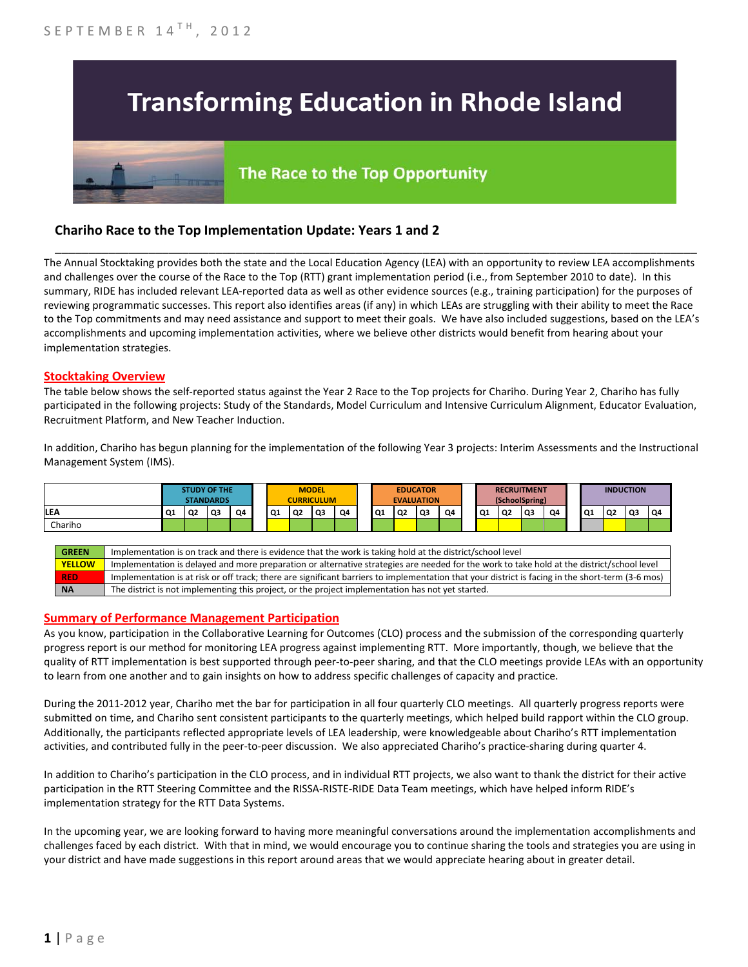# **Transforming Education in Rhode Island**

# The Race to the Top Opportunity

## **Chariho Race to the Top Implementation Update: Years 1 and 2**

The Annual Stocktaking provides both the state and the Local Education Agency (LEA) with an opportunity to review LEA accomplishments and challenges over the course of the Race to the Top (RTT) grant implementation period (i.e., from September 2010 to date). In this summary, RIDE has included relevant LEA-reported data as well as other evidence sources (e.g., training participation) for the purposes of reviewing programmatic successes. This report also identifies areas (if any) in which LEAs are struggling with their ability to meet the Race to the Top commitments and may need assistance and support to meet their goals. We have also included suggestions, based on the LEA's accomplishments and upcoming implementation activities, where we believe other districts would benefit from hearing about your implementation strategies.

\_\_\_\_\_\_\_\_\_\_\_\_\_\_\_\_\_\_\_\_\_\_\_\_\_\_\_\_\_\_\_\_\_\_\_\_\_\_\_\_\_\_\_\_\_\_\_\_\_\_\_\_\_\_\_\_\_\_\_\_\_\_\_\_\_\_\_\_\_\_\_\_\_\_\_\_\_\_\_\_\_\_\_\_\_\_\_\_\_\_\_\_\_\_\_\_

#### **Stocktaking Overview**

The table below shows the self-reported status against the Year 2 Race to the Top projects for Chariho. During Year 2, Chariho has fully participated in the following projects: Study of the Standards, Model Curriculum and Intensive Curriculum Alignment, Educator Evaluation, Recruitment Platform, and New Teacher Induction.

In addition, Chariho has begun planning for the implementation of the following Year 3 projects: Interim Assessments and the Instructional Management System (IMS).



#### **Summary of Performance Management Participation**

As you know, participation in the Collaborative Learning for Outcomes (CLO) process and the submission of the corresponding quarterly progress report is our method for monitoring LEA progress against implementing RTT. More importantly, though, we believe that the quality of RTT implementation is best supported through peer-to-peer sharing, and that the CLO meetings provide LEAs with an opportunity to learn from one another and to gain insights on how to address specific challenges of capacity and practice.

During the 2011-2012 year, Chariho met the bar for participation in all four quarterly CLO meetings. All quarterly progress reports were submitted on time, and Chariho sent consistent participants to the quarterly meetings, which helped build rapport within the CLO group. Additionally, the participants reflected appropriate levels of LEA leadership, were knowledgeable about Chariho's RTT implementation activities, and contributed fully in the peer-to-peer discussion. We also appreciated Chariho's practice-sharing during quarter 4.

In addition to Chariho's participation in the CLO process, and in individual RTT projects, we also want to thank the district for their active participation in the RTT Steering Committee and the RISSA-RISTE-RIDE Data Team meetings, which have helped inform RIDE's implementation strategy for the RTT Data Systems.

In the upcoming year, we are looking forward to having more meaningful conversations around the implementation accomplishments and challenges faced by each district. With that in mind, we would encourage you to continue sharing the tools and strategies you are using in your district and have made suggestions in this report around areas that we would appreciate hearing about in greater detail.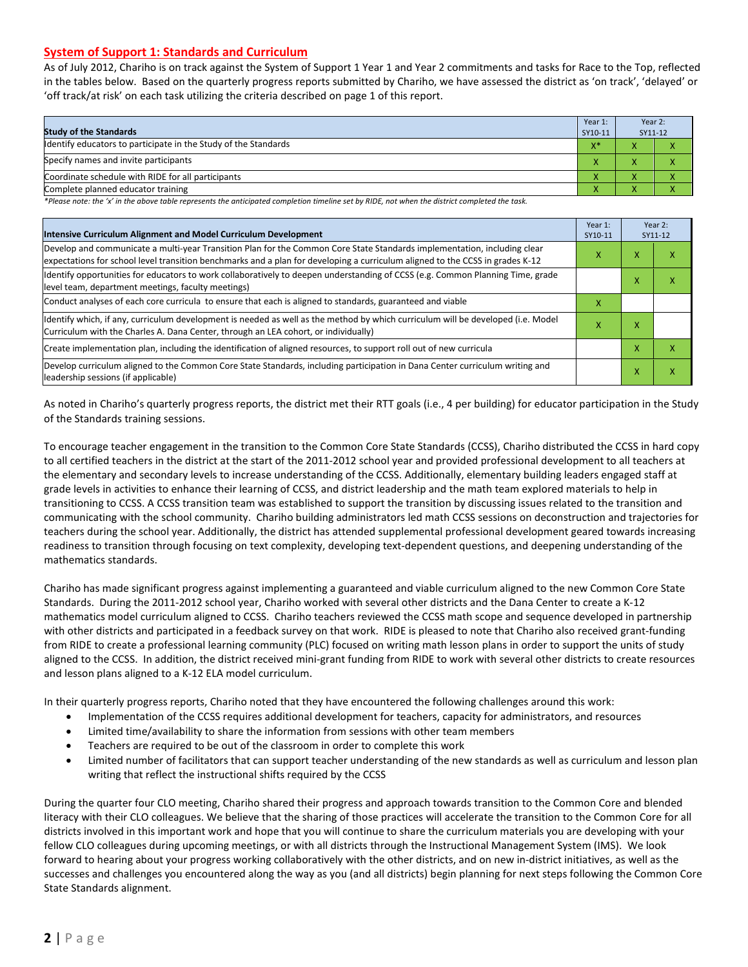#### **System of Support 1: Standards and Curriculum**

As of July 2012, Chariho is on track against the System of Support 1 Year 1 and Year 2 commitments and tasks for Race to the Top, reflected in the tables below. Based on the quarterly progress reports submitted by Chariho, we have assessed the district as 'on track', 'delayed' or 'off track/at risk' on each task utilizing the criteria described on page 1 of this report.

| <b>Study of the Standards</b>                                   | Year 1:<br>SY10-11 | Year 2:<br>SY11-12       |  |
|-----------------------------------------------------------------|--------------------|--------------------------|--|
| Identify educators to participate in the Study of the Standards | $X^*$              | $\overline{\phantom{a}}$ |  |
| Specify names and invite participants                           |                    |                          |  |
| Coordinate schedule with RIDE for all participants              |                    | $\mathbf{\Lambda}$       |  |
| Complete planned educator training                              | $\sqrt{ }$         | $\overline{\phantom{a}}$ |  |

*\*Please note: the 'x' in the above table represents the anticipated completion timeline set by RIDE, not when the district completed the task.*

| Intensive Curriculum Alignment and Model Curriculum Development                                                                                                                                                                                           |  |   | Year 2:<br>SY11-12 |  |
|-----------------------------------------------------------------------------------------------------------------------------------------------------------------------------------------------------------------------------------------------------------|--|---|--------------------|--|
| Develop and communicate a multi-year Transition Plan for the Common Core State Standards implementation, including clear<br>expectations for school level transition benchmarks and a plan for developing a curriculum aligned to the CCSS in grades K-12 |  | x | ⋏                  |  |
| Identify opportunities for educators to work collaboratively to deepen understanding of CCSS (e.g. Common Planning Time, grade<br>level team, department meetings, faculty meetings)                                                                      |  | x | x                  |  |
| Conduct analyses of each core curricula to ensure that each is aligned to standards, guaranteed and viable                                                                                                                                                |  |   |                    |  |
| ldentify which, if any, curriculum development is needed as well as the method by which curriculum will be developed (i.e. Model<br>х<br>Curriculum with the Charles A. Dana Center, through an LEA cohort, or individually)                              |  | x |                    |  |
| Create implementation plan, including the identification of aligned resources, to support roll out of new curricula                                                                                                                                       |  | x | x                  |  |
| Develop curriculum aligned to the Common Core State Standards, including participation in Dana Center curriculum writing and<br>leadership sessions (if applicable)                                                                                       |  | X | Χ                  |  |

As noted in Chariho's quarterly progress reports, the district met their RTT goals (i.e., 4 per building) for educator participation in the Study of the Standards training sessions.

To encourage teacher engagement in the transition to the Common Core State Standards (CCSS), Chariho distributed the CCSS in hard copy to all certified teachers in the district at the start of the 2011-2012 school year and provided professional development to all teachers at the elementary and secondary levels to increase understanding of the CCSS. Additionally, elementary building leaders engaged staff at grade levels in activities to enhance their learning of CCSS, and district leadership and the math team explored materials to help in transitioning to CCSS. A CCSS transition team was established to support the transition by discussing issues related to the transition and communicating with the school community. Chariho building administrators led math CCSS sessions on deconstruction and trajectories for teachers during the school year. Additionally, the district has attended supplemental professional development geared towards increasing readiness to transition through focusing on text complexity, developing text-dependent questions, and deepening understanding of the mathematics standards.

Chariho has made significant progress against implementing a guaranteed and viable curriculum aligned to the new Common Core State Standards. During the 2011-2012 school year, Chariho worked with several other districts and the Dana Center to create a K-12 mathematics model curriculum aligned to CCSS. Chariho teachers reviewed the CCSS math scope and sequence developed in partnership with other districts and participated in a feedback survey on that work. RIDE is pleased to note that Chariho also received grant-funding from RIDE to create a professional learning community (PLC) focused on writing math lesson plans in order to support the units of study aligned to the CCSS. In addition, the district received mini-grant funding from RIDE to work with several other districts to create resources and lesson plans aligned to a K-12 ELA model curriculum.

In their quarterly progress reports, Chariho noted that they have encountered the following challenges around this work:

- Implementation of the CCSS requires additional development for teachers, capacity for administrators, and resources
- Limited time/availability to share the information from sessions with other team members
- Teachers are required to be out of the classroom in order to complete this work
- Limited number of facilitators that can support teacher understanding of the new standards as well as curriculum and lesson plan writing that reflect the instructional shifts required by the CCSS

During the quarter four CLO meeting, Chariho shared their progress and approach towards transition to the Common Core and blended literacy with their CLO colleagues. We believe that the sharing of those practices will accelerate the transition to the Common Core for all districts involved in this important work and hope that you will continue to share the curriculum materials you are developing with your fellow CLO colleagues during upcoming meetings, or with all districts through the Instructional Management System (IMS). We look forward to hearing about your progress working collaboratively with the other districts, and on new in-district initiatives, as well as the successes and challenges you encountered along the way as you (and all districts) begin planning for next steps following the Common Core State Standards alignment.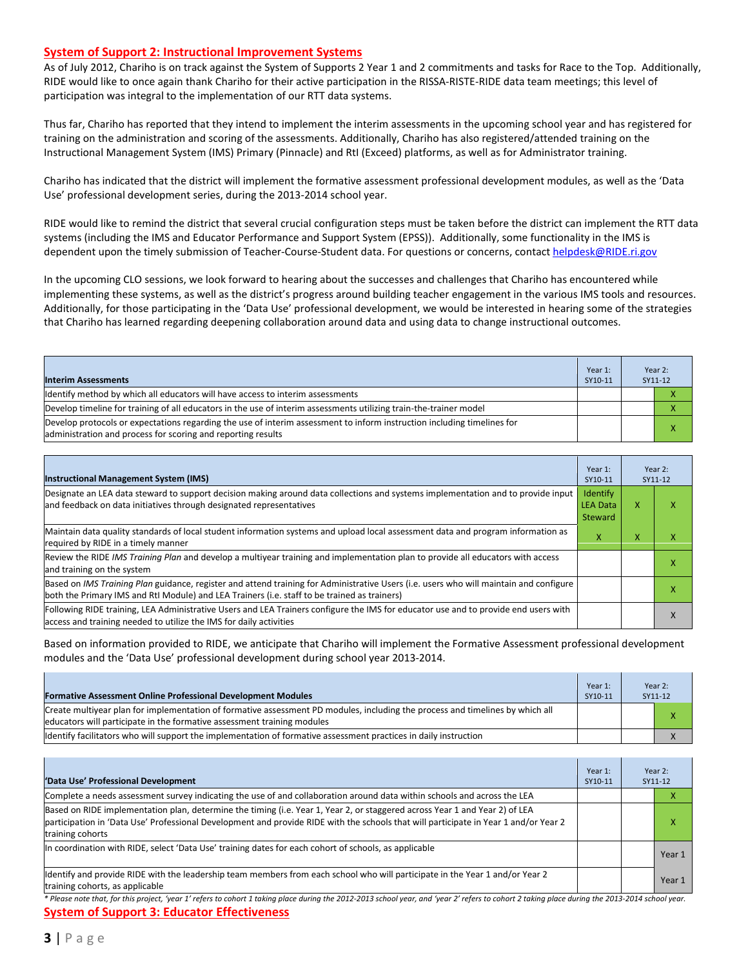#### **System of Support 2: Instructional Improvement Systems**

As of July 2012, Chariho is on track against the System of Supports 2 Year 1 and 2 commitments and tasks for Race to the Top. Additionally, RIDE would like to once again thank Chariho for their active participation in the RISSA-RISTE-RIDE data team meetings; this level of participation was integral to the implementation of our RTT data systems.

Thus far, Chariho has reported that they intend to implement the interim assessments in the upcoming school year and has registered for training on the administration and scoring of the assessments. Additionally, Chariho has also registered/attended training on the Instructional Management System (IMS) Primary (Pinnacle) and RtI (Exceed) platforms, as well as for Administrator training.

Chariho has indicated that the district will implement the formative assessment professional development modules, as well as the 'Data Use' professional development series, during the 2013-2014 school year.

RIDE would like to remind the district that several crucial configuration steps must be taken before the district can implement the RTT data systems (including the IMS and Educator Performance and Support System (EPSS)). Additionally, some functionality in the IMS is dependent upon the timely submission of Teacher-Course-Student data. For questions or concerns, contac[t helpdesk@RIDE.ri.gov](mailto:helpdesk@RIDE.ri.gov)

In the upcoming CLO sessions, we look forward to hearing about the successes and challenges that Chariho has encountered while implementing these systems, as well as the district's progress around building teacher engagement in the various IMS tools and resources. Additionally, for those participating in the 'Data Use' professional development, we would be interested in hearing some of the strategies that Chariho has learned regarding deepening collaboration around data and using data to change instructional outcomes.

| <b>Interim Assessments</b>                                                                                                                                                              | Year 1:<br>SY10-11 | Year $2:$<br>SY11-12 |
|-----------------------------------------------------------------------------------------------------------------------------------------------------------------------------------------|--------------------|----------------------|
| Identify method by which all educators will have access to interim assessments                                                                                                          |                    |                      |
| Develop timeline for training of all educators in the use of interim assessments utilizing train-the-trainer model                                                                      |                    |                      |
| Develop protocols or expectations regarding the use of interim assessment to inform instruction including timelines for<br>administration and process for scoring and reporting results |                    |                      |

| <b>Instructional Management System (IMS)</b>                                                                                                                                                                                           | Year 1:<br>SY10-11                            |   | Year 2:<br>SY11-12 |
|----------------------------------------------------------------------------------------------------------------------------------------------------------------------------------------------------------------------------------------|-----------------------------------------------|---|--------------------|
| Designate an LEA data steward to support decision making around data collections and systems implementation and to provide input<br>and feedback on data initiatives through designated representatives                                | <b>Identify</b><br><b>LEA Data</b><br>Steward | x |                    |
| Maintain data quality standards of local student information systems and upload local assessment data and program information as<br>required by RIDE in a timely manner                                                                |                                               |   |                    |
| Review the RIDE IMS Training Plan and develop a multiyear training and implementation plan to provide all educators with access<br>and training on the system                                                                          |                                               |   |                    |
| Based on IMS Training Plan guidance, register and attend training for Administrative Users (i.e. users who will maintain and configure<br>both the Primary IMS and RtI Module) and LEA Trainers (i.e. staff to be trained as trainers) |                                               |   |                    |
| Following RIDE training, LEA Administrative Users and LEA Trainers configure the IMS for educator use and to provide end users with<br>access and training needed to utilize the IMS for daily activities                              |                                               |   | $\lambda$          |

Based on information provided to RIDE, we anticipate that Chariho will implement the Formative Assessment professional development modules and the 'Data Use' professional development during school year 2013-2014.

| <b>Formative Assessment Online Professional Development Modules</b>                                                                                                                                      | Year 1:<br>SY10-11 | Year 2:<br>SY11-12 |
|----------------------------------------------------------------------------------------------------------------------------------------------------------------------------------------------------------|--------------------|--------------------|
| Create multivear plan for implementation of formative assessment PD modules, including the process and timelines by which all<br>educators will participate in the formative assessment training modules |                    |                    |
| lidentify facilitators who will support the implementation of formative assessment practices in daily instruction                                                                                        |                    |                    |

| 'Data Use' Professional Development                                                                                                                                                                                                                                                     | Year 1:<br>SY10-11 | Year 2:<br>SY11-12 |
|-----------------------------------------------------------------------------------------------------------------------------------------------------------------------------------------------------------------------------------------------------------------------------------------|--------------------|--------------------|
| Complete a needs assessment survey indicating the use of and collaboration around data within schools and across the LEA                                                                                                                                                                |                    | ∧                  |
| Based on RIDE implementation plan, determine the timing (i.e. Year 1, Year 2, or staggered across Year 1 and Year 2) of LEA<br>participation in 'Data Use' Professional Development and provide RIDE with the schools that will participate in Year 1 and/or Year 2<br>training cohorts |                    | x                  |
| In coordination with RIDE, select 'Data Use' training dates for each cohort of schools, as applicable                                                                                                                                                                                   |                    | Year 1             |
| Identify and provide RIDE with the leadership team members from each school who will participate in the Year 1 and/or Year 2<br>training cohorts, as applicable                                                                                                                         |                    | Year 1             |

*\* Please note that, for this project, 'year 1' refers to cohort 1 taking place during the 2012-2013 school year, and 'year 2' refers to cohort 2 taking place during the 2013-2014 school year.* **System of Support 3: Educator Effectiveness**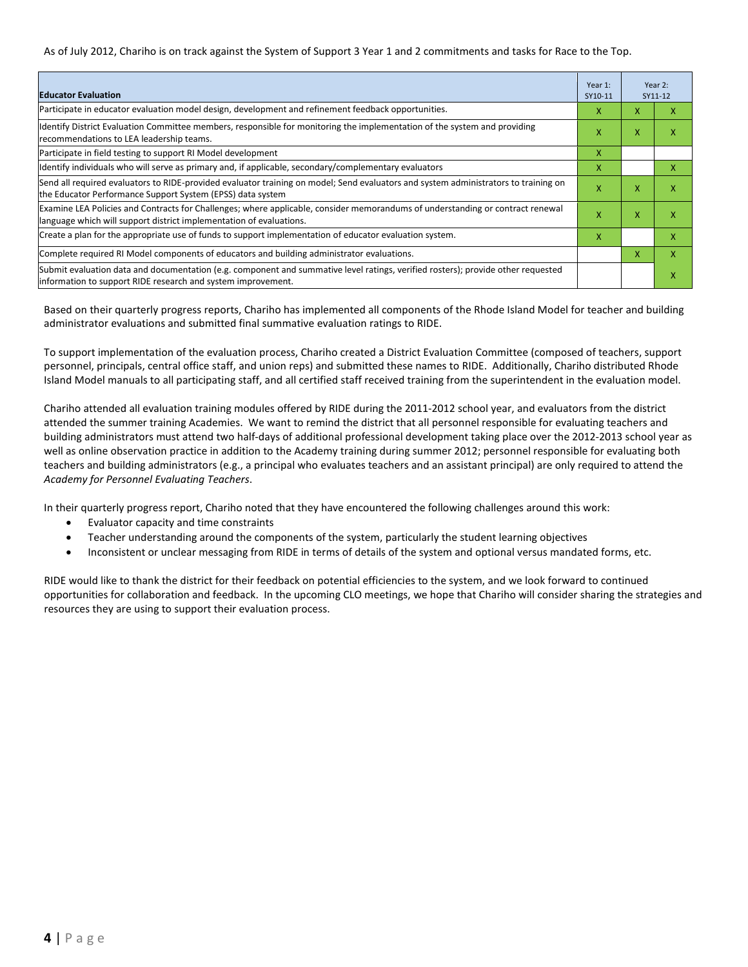As of July 2012, Chariho is on track against the System of Support 3 Year 1 and 2 commitments and tasks for Race to the Top.

| <b>Educator Evaluation</b>                                                                                                                                                                            |   |                           | Year 2:<br>SY11-12 |
|-------------------------------------------------------------------------------------------------------------------------------------------------------------------------------------------------------|---|---------------------------|--------------------|
| Participate in educator evaluation model design, development and refinement feedback opportunities.                                                                                                   | x | x                         | х                  |
| Ildentify District Evaluation Committee members, responsible for monitoring the implementation of the system and providing<br>recommendations to LEA leadership teams.                                | X |                           | x                  |
| Participate in field testing to support RI Model development                                                                                                                                          | x |                           |                    |
| ldentify individuals who will serve as primary and, if applicable, secondary/complementary evaluators                                                                                                 | x |                           | x                  |
| Send all required evaluators to RIDE-provided evaluator training on model; Send evaluators and system administrators to training on<br>the Educator Performance Support System (EPSS) data system     | X | X                         | x                  |
| Examine LEA Policies and Contracts for Challenges; where applicable, consider memorandums of understanding or contract renewal<br>language which will support district implementation of evaluations. |   | $\boldsymbol{\mathsf{x}}$ | x                  |
| Create a plan for the appropriate use of funds to support implementation of educator evaluation system.                                                                                               |   |                           | x                  |
| Complete required RI Model components of educators and building administrator evaluations.                                                                                                            |   | X                         | X                  |
| Submit evaluation data and documentation (e.g. component and summative level ratings, verified rosters); provide other requested<br>linformation to support RIDE research and system improvement.     |   |                           | x                  |

Based on their quarterly progress reports, Chariho has implemented all components of the Rhode Island Model for teacher and building administrator evaluations and submitted final summative evaluation ratings to RIDE.

To support implementation of the evaluation process, Chariho created a District Evaluation Committee (composed of teachers, support personnel, principals, central office staff, and union reps) and submitted these names to RIDE. Additionally, Chariho distributed Rhode Island Model manuals to all participating staff, and all certified staff received training from the superintendent in the evaluation model.

Chariho attended all evaluation training modules offered by RIDE during the 2011-2012 school year, and evaluators from the district attended the summer training Academies. We want to remind the district that all personnel responsible for evaluating teachers and building administrators must attend two half-days of additional professional development taking place over the 2012-2013 school year as well as online observation practice in addition to the Academy training during summer 2012; personnel responsible for evaluating both teachers and building administrators (e.g., a principal who evaluates teachers and an assistant principal) are only required to attend the *Academy for Personnel Evaluating Teachers*.

In their quarterly progress report, Chariho noted that they have encountered the following challenges around this work:

- Evaluator capacity and time constraints
- Teacher understanding around the components of the system, particularly the student learning objectives
- Inconsistent or unclear messaging from RIDE in terms of details of the system and optional versus mandated forms, etc.

RIDE would like to thank the district for their feedback on potential efficiencies to the system, and we look forward to continued opportunities for collaboration and feedback. In the upcoming CLO meetings, we hope that Chariho will consider sharing the strategies and resources they are using to support their evaluation process.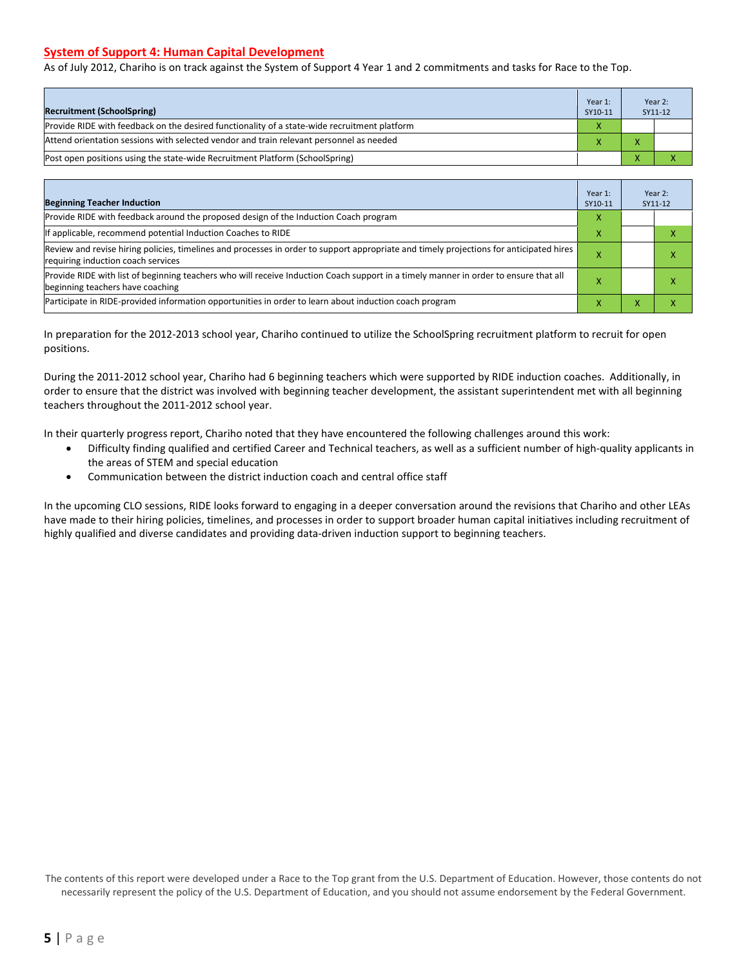#### **System of Support 4: Human Capital Development**

As of July 2012, Chariho is on track against the System of Support 4 Year 1 and 2 commitments and tasks for Race to the Top.

| <b>Recruitment (SchoolSpring)</b>                                                            | Year 1:<br>SY10-11 | Year 2:<br>SY11-12 |
|----------------------------------------------------------------------------------------------|--------------------|--------------------|
| Provide RIDE with feedback on the desired functionality of a state-wide recruitment platform |                    |                    |
| Attend orientation sessions with selected vendor and train relevant personnel as needed      |                    |                    |
| [Post open positions using the state-wide Recruitment Platform (SchoolSpring)                |                    |                    |

| <b>Beginning Teacher Induction</b>                                                                                                                                            | Year 1:<br>SY10-11 |   | Year 2:<br>SY11-12 |
|-------------------------------------------------------------------------------------------------------------------------------------------------------------------------------|--------------------|---|--------------------|
| Provide RIDE with feedback around the proposed design of the Induction Coach program                                                                                          | x                  |   |                    |
| If applicable, recommend potential Induction Coaches to RIDE                                                                                                                  |                    |   |                    |
| Review and revise hiring policies, timelines and processes in order to support appropriate and timely projections for anticipated hires<br>requiring induction coach services |                    |   |                    |
| Provide RIDE with list of beginning teachers who will receive Induction Coach support in a timely manner in order to ensure that all<br>beginning teachers have coaching      |                    |   |                    |
| Participate in RIDE-provided information opportunities in order to learn about induction coach program                                                                        |                    | ⋏ |                    |

In preparation for the 2012-2013 school year, Chariho continued to utilize the SchoolSpring recruitment platform to recruit for open positions.

During the 2011-2012 school year, Chariho had 6 beginning teachers which were supported by RIDE induction coaches. Additionally, in order to ensure that the district was involved with beginning teacher development, the assistant superintendent met with all beginning teachers throughout the 2011-2012 school year.

In their quarterly progress report, Chariho noted that they have encountered the following challenges around this work:

- Difficulty finding qualified and certified Career and Technical teachers, as well as a sufficient number of high-quality applicants in the areas of STEM and special education
- Communication between the district induction coach and central office staff

In the upcoming CLO sessions, RIDE looks forward to engaging in a deeper conversation around the revisions that Chariho and other LEAs have made to their hiring policies, timelines, and processes in order to support broader human capital initiatives including recruitment of highly qualified and diverse candidates and providing data-driven induction support to beginning teachers.

The contents of this report were developed under a Race to the Top grant from the U.S. Department of Education. However, those contents do not necessarily represent the policy of the U.S. Department of Education, and you should not assume endorsement by the Federal Government.